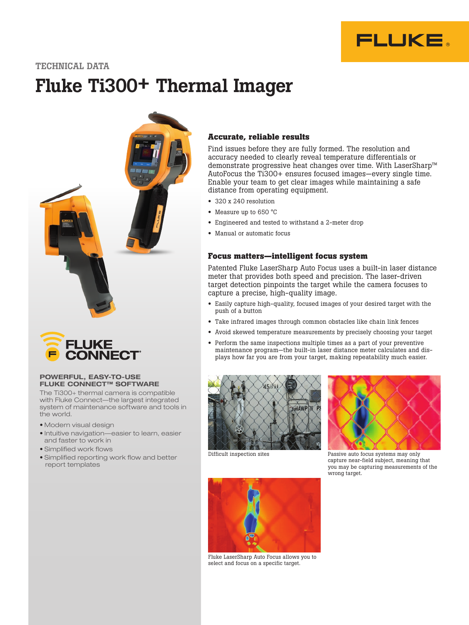

TECHNICAL DATA

# Fluke Ti300+ Thermal Imager





## POWERFUL, EASY-TO-USE FLUKE CONNECT™ SOFTWARE

The Ti300+ thermal camera is compatible with Fluke Connect—the largest integrated system of maintenance software and tools in the world.

- Modern visual design
- Intuitive navigation—easier to learn, easier and faster to work in
- Simplified work flows
- Simplified reporting work flow and better report templates

## **Accurate, reliable results**

Find issues before they are fully formed. The resolution and accuracy needed to clearly reveal temperature differentials or demonstrate progressive heat changes over time. With LaserSharp™ AutoFocus the Ti300+ ensures focused images—every single time. Enable your team to get clear images while maintaining a safe distance from operating equipment.

- 320 x 240 resolution
- Measure up to 650 °C
- Engineered and tested to withstand a 2-meter drop
- Manual or automatic focus

## **Focus matters—intelligent focus system**

Patented Fluke LaserSharp Auto Focus uses a built-in laser distance meter that provides both speed and precision. The laser-driven target detection pinpoints the target while the camera focuses to capture a precise, high-quality image.

- Easily capture high-quality, focused images of your desired target with the push of a button
- Take infrared images through common obstacles like chain link fences
- Avoid skewed temperature measurements by precisely choosing your target
- Perform the same inspections multiple times as a part of your preventive maintenance program—the built-in laser distance meter calculates and displays how far you are from your target, making repeatability much easier.





Difficult inspection sites Passive auto focus systems may only capture near-field subject, meaning that you may be capturing measurements of the wrong target.



Fluke LaserSharp Auto Focus allows you to select and focus on a specific target.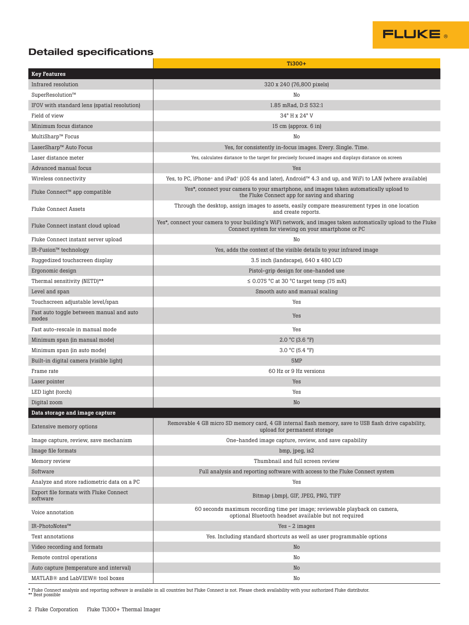

## Detailed specifications

|                                                    | Ti300+                                                                                                                                                               |
|----------------------------------------------------|----------------------------------------------------------------------------------------------------------------------------------------------------------------------|
| <b>Key Features</b>                                |                                                                                                                                                                      |
| Infrared resolution                                | 320 x 240 (76,800 pixels)                                                                                                                                            |
| SuperResolution™                                   | No                                                                                                                                                                   |
| IFOV with standard lens (spatial resolution)       | 1.85 mRad. D:S 532:1                                                                                                                                                 |
| Field of view                                      | 34° H x 24° V                                                                                                                                                        |
| Minimum focus distance                             | 15 cm (approx. 6 in)                                                                                                                                                 |
| MultiSharp™ Focus                                  | No                                                                                                                                                                   |
| LaserSharp™ Auto Focus                             | Yes, for consistently in-focus images. Every. Single. Time.                                                                                                          |
| Laser distance meter                               | Yes, calculates distance to the target for precisely focused images and displays distance on screen                                                                  |
| Advanced manual focus                              | Yes                                                                                                                                                                  |
| Wireless connectivity                              | Yes, to PC, iPhone® and iPad® (iOS 4s and later), Android™ 4.3 and up, and WiFi to LAN (where available)                                                             |
| Fluke Connect™ app compatible                      | Yes*, connect your camera to your smartphone, and images taken automatically upload to<br>the Fluke Connect app for saving and sharing                               |
| <b>Fluke Connect Assets</b>                        | Through the desktop, assign images to assets, easily compare measurement types in one location<br>and create reports.                                                |
| Fluke Connect instant cloud upload                 | Yes*, connect your camera to your building's WiFi network, and images taken automatically upload to the Fluke<br>Connect system for viewing on your smartphone or PC |
| Fluke Connect instant server upload                | No                                                                                                                                                                   |
| IR-Fusion™ technology                              | Yes, adds the context of the visible details to your infrared image                                                                                                  |
| Ruggedized touchscreen display                     | 3.5 inch (landscape), 640 x 480 LCD                                                                                                                                  |
| Ergonomic design                                   | Pistol-grip design for one-handed use                                                                                                                                |
| Thermal sensitivity (NETD)**                       | $\leq$ 0.075 °C at 30 °C target temp (75 mK)                                                                                                                         |
| Level and span                                     | Smooth auto and manual scaling                                                                                                                                       |
| Touchscreen adjustable level/span                  | Yes                                                                                                                                                                  |
| Fast auto toggle between manual and auto<br>modes  | Yes                                                                                                                                                                  |
| Fast auto-rescale in manual mode                   | Yes                                                                                                                                                                  |
| Minimum span (in manual mode)                      | $2.0 °C$ (3.6 °F)                                                                                                                                                    |
| Minimum span (in auto mode)                        | 3.0 °C (5.4 °F)                                                                                                                                                      |
| Built-in digital camera (visible light)            | 5MP                                                                                                                                                                  |
| Frame rate                                         | 60 Hz or 9 Hz versions                                                                                                                                               |
| Laser pointer                                      | Yes                                                                                                                                                                  |
| LED light (torch)                                  | Yes                                                                                                                                                                  |
| Digital zoom                                       | No                                                                                                                                                                   |
| Data storage and image capture                     |                                                                                                                                                                      |
| Extensive memory options                           | Removable 4 GB micro SD memory card, 4 GB internal flash memory, save to USB flash drive capability,<br>upload for permanent storage                                 |
| Image capture, review, save mechanism              | One-handed image capture, review, and save capability                                                                                                                |
| Image file formats                                 | bmp, jpeg, is2                                                                                                                                                       |
| Memory review                                      | Thumbnail and full screen review                                                                                                                                     |
| Software                                           | Full analysis and reporting software with access to the Fluke Connect system                                                                                         |
| Analyze and store radiometric data on a PC         | Yes                                                                                                                                                                  |
| Export file formats with Fluke Connect<br>software | Bitmap (.bmp), GIF, JPEG, PNG, TIFF                                                                                                                                  |
| Voice annotation                                   | 60 seconds maximum recording time per image; reviewable playback on camera,<br>optional Bluetooth headset available but not required                                 |
| IR-PhotoNotes™                                     | Yes - 2 images                                                                                                                                                       |
| Text annotations                                   | Yes. Including standard shortcuts as well as user programmable options                                                                                               |
| Video recording and formats                        | No                                                                                                                                                                   |
| Remote control operations                          | No                                                                                                                                                                   |
| Auto capture (temperature and interval)            | No                                                                                                                                                                   |
| MATLAB® and LabVIEW® tool boxes                    | No                                                                                                                                                                   |

\* Fluke Connect analysis and reporting software is available in all countries but Fluke Connect is not. Please check availability with your authorized Fluke distributor. \*\* Best possible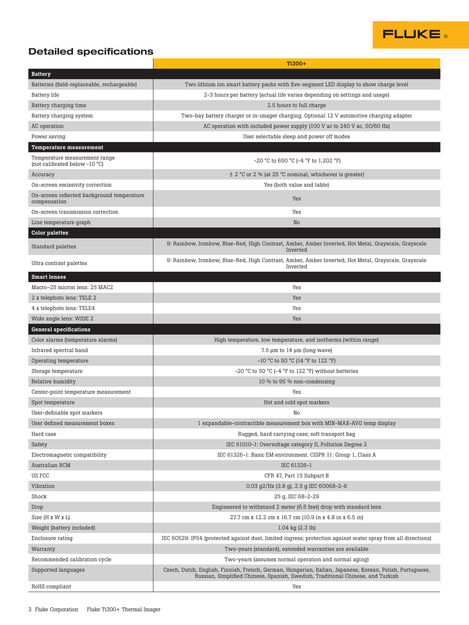

# Detailed specifications

|                                                                | Ti300+                                                                                                                                                                                       |
|----------------------------------------------------------------|----------------------------------------------------------------------------------------------------------------------------------------------------------------------------------------------|
| <b>Battery</b>                                                 |                                                                                                                                                                                              |
| Batteries (field-replaceable, rechargeable)                    | Two lithium ion smart battery packs with five-segment LED display to show charge level                                                                                                       |
| Battery life                                                   | 2-3 hours per battery (actual life varies depending on settings and usage)                                                                                                                   |
| Battery charging time                                          | 2.5 hours to full charge                                                                                                                                                                     |
| Battery charging system                                        | Two-bay battery charger or in-imager charging. Optional 12 V automotive charging adapter                                                                                                     |
| AC operation                                                   | AC operation with included power supply (100 V ac to 240 V ac, 50/60 Hz)                                                                                                                     |
| Power saving                                                   | User selectable sleep and power off modes                                                                                                                                                    |
| Temperature measurement                                        |                                                                                                                                                                                              |
| Temperature measurement range<br>(not calibrated below -10 °C) | -20 °C to 650 °C (-4 °F to 1,202 °F)                                                                                                                                                         |
| Accuracy                                                       | $\pm$ 2 °C or 2 % (at 25 °C nominal, whichever is greater)                                                                                                                                   |
| On-screen emissivity correction                                | Yes (both value and table)                                                                                                                                                                   |
| On-screen reflected background temperature<br>compensation     | Yes                                                                                                                                                                                          |
| On-screen transmission correction                              | Yes                                                                                                                                                                                          |
| Line temperature graph                                         | No                                                                                                                                                                                           |
| <b>Color palettes</b>                                          |                                                                                                                                                                                              |
| Standard palettes                                              | 9: Rainbow, Ironbow, Blue-Red, High Contrast, Amber, Amber Inverted, Hot Metal, Grayscale, Grayscale<br>Inverted                                                                             |
| Ultra contrast palettes                                        | 9: Rainbow, Ironbow, Blue-Red, High Contrast, Amber, Amber Inverted, Hot Metal, Grayscale, Grayscale<br>Inverted                                                                             |
| <b>Smart lenses</b>                                            |                                                                                                                                                                                              |
| Macro-25 micron lens: 25 MAC2                                  | Yes                                                                                                                                                                                          |
| 2 x telephoto lens: TELE 2                                     | Yes                                                                                                                                                                                          |
| 4 x telephoto lens: TELE4                                      | Yes                                                                                                                                                                                          |
| Wide angle lens: WIDE 2                                        | Yes                                                                                                                                                                                          |
| <b>General specifications</b>                                  |                                                                                                                                                                                              |
| Color alarms (temperature alarms)                              | High temperature, low temperature, and isotherms (within range)                                                                                                                              |
| Infrared spectral band                                         | $7.5 \mu m$ to 14 $\mu m$ (long wave)                                                                                                                                                        |
| Operating temperature                                          | $-10$ °C to 50 °C (14 °F to 122 °F)                                                                                                                                                          |
| Storage temperature                                            | $-20$ °C to 50 °C ( $-4$ °F to 122 °F) without batteries                                                                                                                                     |
| Relative humidity                                              | 10 % to 95 % non-condensing                                                                                                                                                                  |
| Center-point temperature measurement                           | Yes                                                                                                                                                                                          |
| Spot temperature                                               | Hot and cold spot markers                                                                                                                                                                    |
| User-definable spot markers                                    | No                                                                                                                                                                                           |
| User defined measurement boxes                                 | 1 expandable-contractible measurement box with MIN-MAX-AVG temp display                                                                                                                      |
| Hard case                                                      | Rugged, hard carrying case; soft transport bag                                                                                                                                               |
| Safety                                                         | IEC 61010-1: Overvoltage category II, Pollution Degree 2                                                                                                                                     |
| Electromagnetic compatibility                                  | IEC 61326-1: Basic EM environment. CISPR 11: Group 1, Class A                                                                                                                                |
| Australian RCM                                                 | IEC 61326-1                                                                                                                                                                                  |
| US FCC                                                         | CFR 47, Part 15 Subpart B                                                                                                                                                                    |
| Vibration                                                      | 0.03 g2/Hz (3.8 g), 2.5 g IEC 60068-2-6                                                                                                                                                      |
| Shock                                                          | 25 g, IEC 68-2-29                                                                                                                                                                            |
| Drop                                                           | Engineered to withstand 2 meter (6.5 feet) drop with standard lens                                                                                                                           |
| Size (H x W x L)                                               | 27.7 cm x 12.2 cm x 16.7 cm (10.9 in x 4.8 in x 6.5 in)                                                                                                                                      |
| Weight (battery included)                                      | $1.04$ kg $(2.3$ lb)                                                                                                                                                                         |
| Enclosure rating                                               | IEC 60529: IP54 (protected against dust, limited ingress; protection against water spray from all directions)                                                                                |
| Warranty                                                       | Two-years (standard), extended warranties are available                                                                                                                                      |
| Recommended calibration cycle                                  | Two-years (assumes normal operation and normal aging)                                                                                                                                        |
| Supported languages                                            | Czech, Dutch, English, Finnish, French, German, Hungarian, Italian, Japanese, Korean, Polish, Portuguese,<br>Russian, Simplified Chinese, Spanish, Swedish, Traditional Chinese, and Turkish |
| RoHS compliant                                                 | Yes                                                                                                                                                                                          |